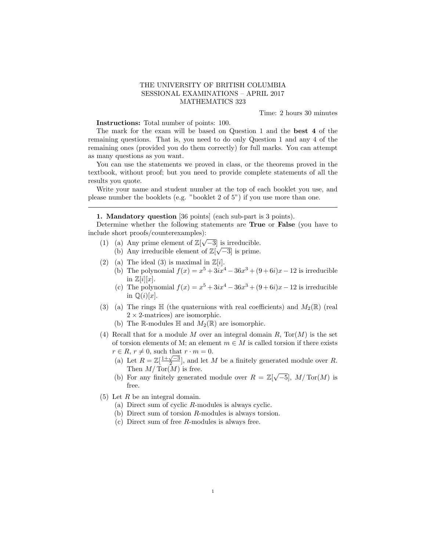## THE UNIVERSITY OF BRITISH COLUMBIA SESSIONAL EXAMINATIONS – APRIL 2017 MATHEMATICS 323

Time: 2 hours 30 minutes

Instructions: Total number of points: 100.

The mark for the exam will be based on Question 1 and the best 4 of the remaining questions. That is, you need to do only Question 1 and any 4 of the remaining ones (provided you do them correctly) for full marks. You can attempt as many questions as you want.

You can use the statements we proved in class, or the theorems proved in the textbook, without proof; but you need to provide complete statements of all the results you quote.

Write your name and student number at the top of each booklet you use, and please number the booklets (e.g. "booklet 2 of 5") if you use more than one.

## 1. Mandatory question [36 points] (each sub-part is 3 points).

Determine whether the following statements are True or False (you have to include short proofs/counterexamples): √

- (1) (a) Any prime element of  $\mathbb{Z}[\sqrt{-3}]$  is irreducible. (b) Any irreducible element of  $\mathbb{Z}[\sqrt{-3}]$  is prime.
- (2) (a) The ideal (3) is maximal in  $\mathbb{Z}[i]$ .
	- (b) The polynomial  $f(x) = x^5 + 3ix^4 36x^3 + (9+6i)x 12$  is irreducible in  $\mathbb{Z}[i][x]$ .
		- (c) The polynomial  $f(x) = x^5 + 3ix^4 36x^3 + (9+6i)x 12$  is irreducible in  $\mathbb{Q}(i)[x]$ .
- (3) (a) The rings  $\mathbb H$  (the quaternions with real coefficients) and  $M_2(\mathbb R)$  (real  $2 \times 2$ -matrices) are isomorphic.
	- (b) The R-modules  $\mathbb H$  and  $M_2(\mathbb R)$  are isomorphic.
- (4) Recall that for a module  $M$  over an integral domain  $R$ ,  $Tor(M)$  is the set of torsion elements of M; an element  $m \in M$  is called torsion if there exists  $r \in R$ ,  $r \neq 0$ , such that  $r \cdot m = 0$ .
	- (a) Let  $R = \mathbb{Z}[\frac{1+\sqrt{-3}}{2}]$ , and let M be a finitely generated module over R. Then  $M/\text{Tor}(M)$  is free.
	- (b) For any finitely generated module over  $R = \mathbb{Z}[\sqrt{-5}]$ ,  $M/\text{Tor}(M)$  is free.
- (5) Let R be an integral domain.
	- (a) Direct sum of cyclic R-modules is always cyclic.
	- (b) Direct sum of torsion R-modules is always torsion.
	- (c) Direct sum of free R-modules is always free.